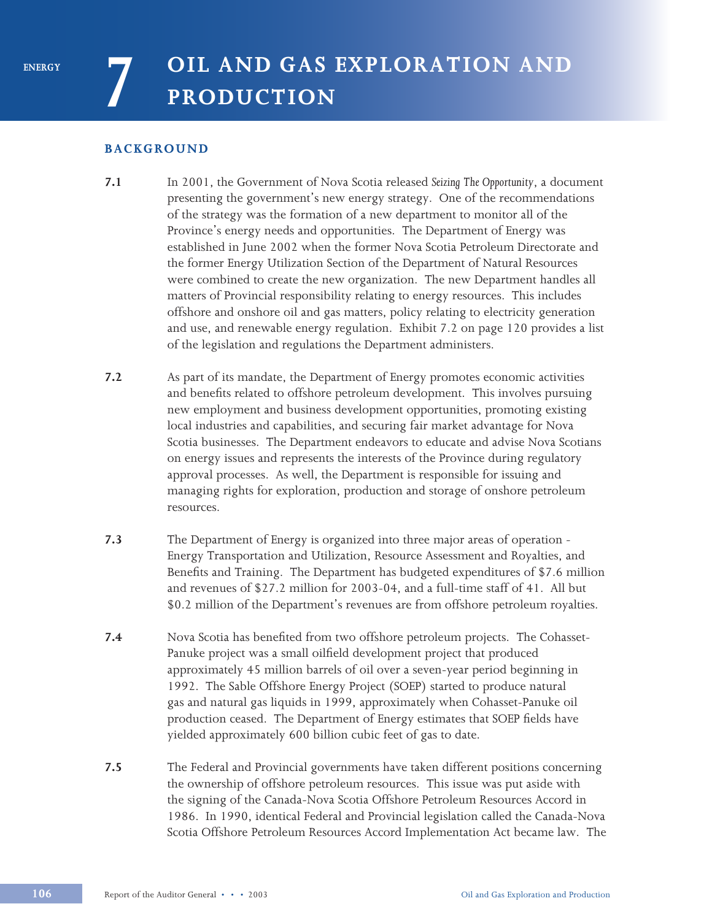# **BACKGROUND**

- **7.1** In 2001, the Government of Nova Scotia released *Seizing The Opportunity*, a document presenting the government's new energy strategy. One of the recommendations of the strategy was the formation of a new department to monitor all of the Province's energy needs and opportunities. The Department of Energy was established in June 2002 when the former Nova Scotia Petroleum Directorate and the former Energy Utilization Section of the Department of Natural Resources were combined to create the new organization. The new Department handles all matters of Provincial responsibility relating to energy resources. This includes offshore and onshore oil and gas matters, policy relating to electricity generation and use, and renewable energy regulation. Exhibit 7.2 on page 120 provides a list of the legislation and regulations the Department administers.
- **7.2** As part of its mandate, the Department of Energy promotes economic activities and benefits related to offshore petroleum development. This involves pursuing new employment and business development opportunities, promoting existing local industries and capabilities, and securing fair market advantage for Nova Scotia businesses. The Department endeavors to educate and advise Nova Scotians on energy issues and represents the interests of the Province during regulatory approval processes. As well, the Department is responsible for issuing and managing rights for exploration, production and storage of onshore petroleum resources.
- **7.3** The Department of Energy is organized into three major areas of operation Energy Transportation and Utilization, Resource Assessment and Royalties, and Benefits and Training. The Department has budgeted expenditures of \$7.6 million and revenues of \$27.2 million for 2003-04, and a full-time staff of 41. All but \$0.2 million of the Department's revenues are from offshore petroleum royalties.
- **7.4** Nova Scotia has benefited from two offshore petroleum projects. The Cohasset-Panuke project was a small oilfield development project that produced approximately 45 million barrels of oil over a seven-year period beginning in 1992. The Sable Offshore Energy Project (SOEP) started to produce natural gas and natural gas liquids in 1999, approximately when Cohasset-Panuke oil production ceased. The Department of Energy estimates that SOEP fields have yielded approximately 600 billion cubic feet of gas to date.
- **7.5** The Federal and Provincial governments have taken different positions concerning the ownership of offshore petroleum resources. This issue was put aside with the signing of the Canada-Nova Scotia Offshore Petroleum Resources Accord in 1986. In 1990, identical Federal and Provincial legislation called the Canada-Nova Scotia Offshore Petroleum Resources Accord Implementation Act became law. The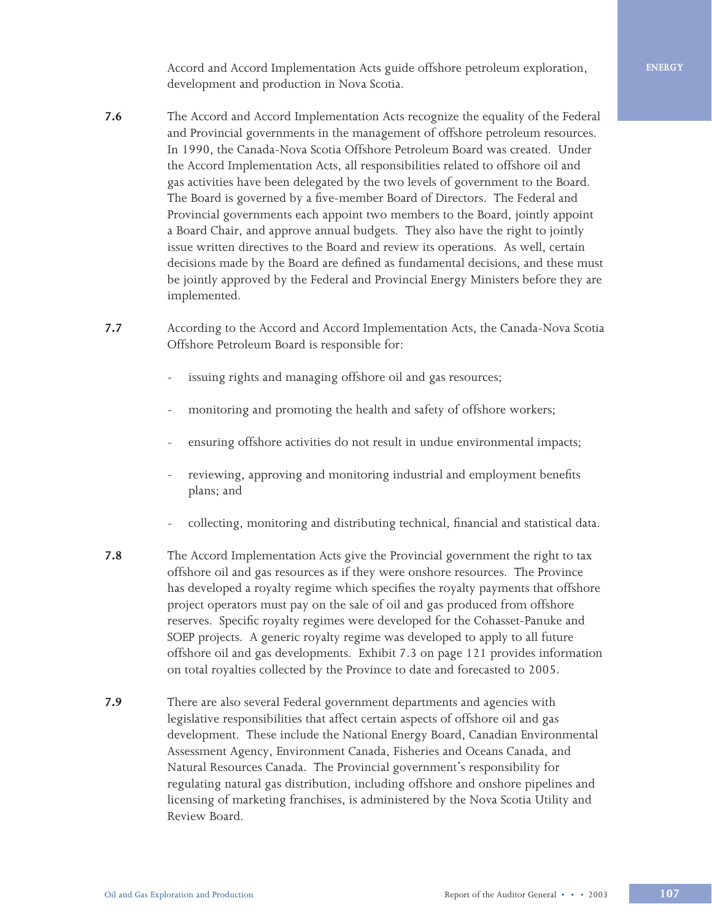Accord and Accord Implementation Acts guide offshore petroleum exploration, **ENERGY** development and production in Nova Scotia.

- **7.6** The Accord and Accord Implementation Acts recognize the equality of the Federal and Provincial governments in the management of offshore petroleum resources. In 1990, the Canada-Nova Scotia Offshore Petroleum Board was created. Under the Accord Implementation Acts, all responsibilities related to offshore oil and gas activities have been delegated by the two levels of government to the Board. The Board is governed by a five-member Board of Directors. The Federal and Provincial governments each appoint two members to the Board, jointly appoint a Board Chair, and approve annual budgets. They also have the right to jointly issue written directives to the Board and review its operations. As well, certain decisions made by the Board are defined as fundamental decisions, and these must be jointly approved by the Federal and Provincial Energy Ministers before they are implemented.
- **7.7** According to the Accord and Accord Implementation Acts, the Canada-Nova Scotia Offshore Petroleum Board is responsible for:
	- issuing rights and managing offshore oil and gas resources;
	- monitoring and promoting the health and safety of offshore workers;
	- ensuring offshore activities do not result in undue environmental impacts;
	- reviewing, approving and monitoring industrial and employment benefits plans; and
	- collecting, monitoring and distributing technical, financial and statistical data.
- **7.8** The Accord Implementation Acts give the Provincial government the right to tax offshore oil and gas resources as if they were onshore resources. The Province has developed a royalty regime which specifies the royalty payments that offshore project operators must pay on the sale of oil and gas produced from offshore reserves. Specific royalty regimes were developed for the Cohasset-Panuke and SOEP projects. A generic royalty regime was developed to apply to all future offshore oil and gas developments. Exhibit 7.3 on page 121 provides information on total royalties collected by the Province to date and forecasted to 2005.
- **7.9** There are also several Federal government departments and agencies with legislative responsibilities that affect certain aspects of offshore oil and gas development. These include the National Energy Board, Canadian Environmental Assessment Agency, Environment Canada, Fisheries and Oceans Canada, and Natural Resources Canada. The Provincial government's responsibility for regulating natural gas distribution, including offshore and onshore pipelines and licensing of marketing franchises, is administered by the Nova Scotia Utility and Review Board.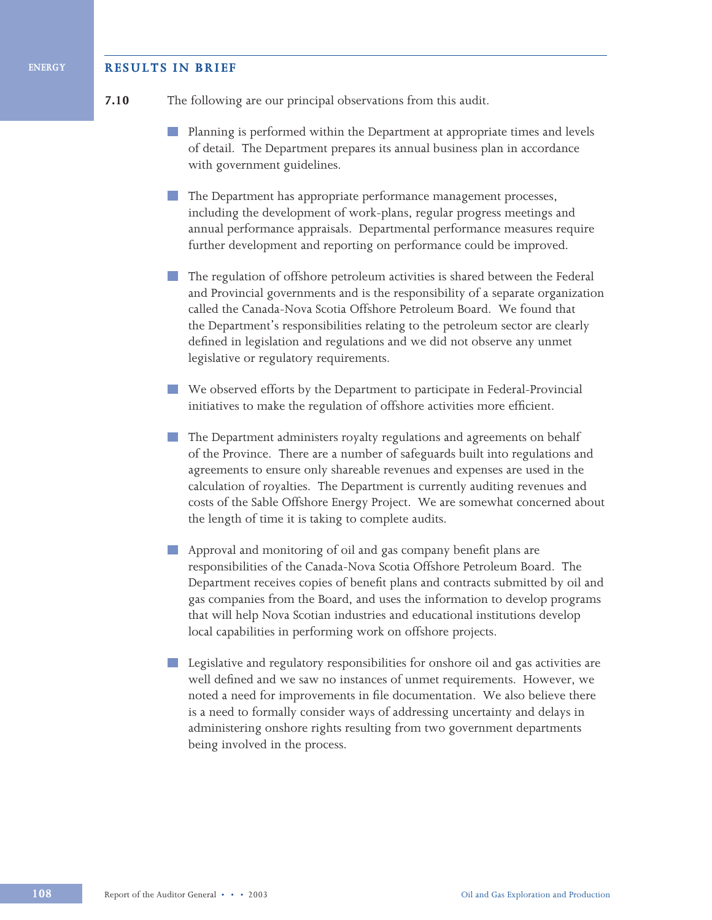### **RESULTS IN BRIEF**

#### **7.10** The following are our principal observations from this audit.

- Planning is performed within the Department at appropriate times and levels of detail. The Department prepares its annual business plan in accordance with government guidelines.
- The Department has appropriate performance management processes, including the development of work-plans, regular progress meetings and annual performance appraisals. Departmental performance measures require further development and reporting on performance could be improved.
- **The regulation of offshore petroleum activities is shared between the Federal** and Provincial governments and is the responsibility of a separate organization called the Canada-Nova Scotia Offshore Petroleum Board. We found that the Department's responsibilities relating to the petroleum sector are clearly defined in legislation and regulations and we did not observe any unmet legislative or regulatory requirements.
- We observed efforts by the Department to participate in Federal-Provincial initiatives to make the regulation of offshore activities more efficient.
- The Department administers royalty regulations and agreements on behalf of the Province. There are a number of safeguards built into regulations and agreements to ensure only shareable revenues and expenses are used in the calculation of royalties. The Department is currently auditing revenues and costs of the Sable Offshore Energy Project. We are somewhat concerned about the length of time it is taking to complete audits.
- **Contract** Approval and monitoring of oil and gas company benefit plans are responsibilities of the Canada-Nova Scotia Offshore Petroleum Board. The Department receives copies of benefit plans and contracts submitted by oil and gas companies from the Board, and uses the information to develop programs that will help Nova Scotian industries and educational institutions develop local capabilities in performing work on offshore projects.
- **Legislative and regulatory responsibilities for onshore oil and gas activities are** well defined and we saw no instances of unmet requirements. However, we noted a need for improvements in file documentation. We also believe there is a need to formally consider ways of addressing uncertainty and delays in administering onshore rights resulting from two government departments being involved in the process.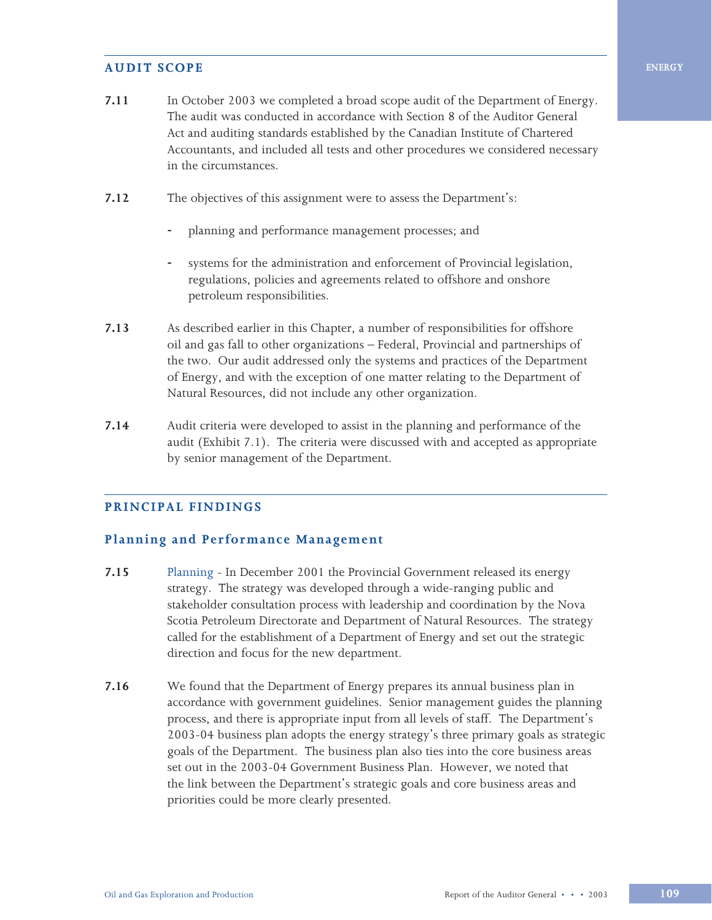## **AUDIT SCOPE**

- **7.11** In October 2003 we completed a broad scope audit of the Department of Energy. The audit was conducted in accordance with Section 8 of the Auditor General Act and auditing standards established by the Canadian Institute of Chartered Accountants, and included all tests and other procedures we considered necessary in the circumstances.
- **7.12** The objectives of this assignment were to assess the Department's:
	- planning and performance management processes; and
	- systems for the administration and enforcement of Provincial legislation, regulations, policies and agreements related to offshore and onshore petroleum responsibilities.
- **7.13** As described earlier in this Chapter, a number of responsibilities for offshore oil and gas fall to other organizations – Federal, Provincial and partnerships of the two. Our audit addressed only the systems and practices of the Department of Energy, and with the exception of one matter relating to the Department of Natural Resources, did not include any other organization.
- **7.14** Audit criteria were developed to assist in the planning and performance of the audit (Exhibit 7.1). The criteria were discussed with and accepted as appropriate by senior management of the Department.

# **PRINCIPAL FINDINGS**

## **Planning and Performance Management**

- **7.15** Planning In December 2001 the Provincial Government released its energy strategy. The strategy was developed through a wide-ranging public and stakeholder consultation process with leadership and coordination by the Nova Scotia Petroleum Directorate and Department of Natural Resources. The strategy called for the establishment of a Department of Energy and set out the strategic direction and focus for the new department.
- **7.16** We found that the Department of Energy prepares its annual business plan in accordance with government guidelines. Senior management guides the planning process, and there is appropriate input from all levels of staff. The Department's 2003-04 business plan adopts the energy strategy's three primary goals as strategic goals of the Department. The business plan also ties into the core business areas set out in the 2003-04 Government Business Plan. However, we noted that the link between the Department's strategic goals and core business areas and priorities could be more clearly presented.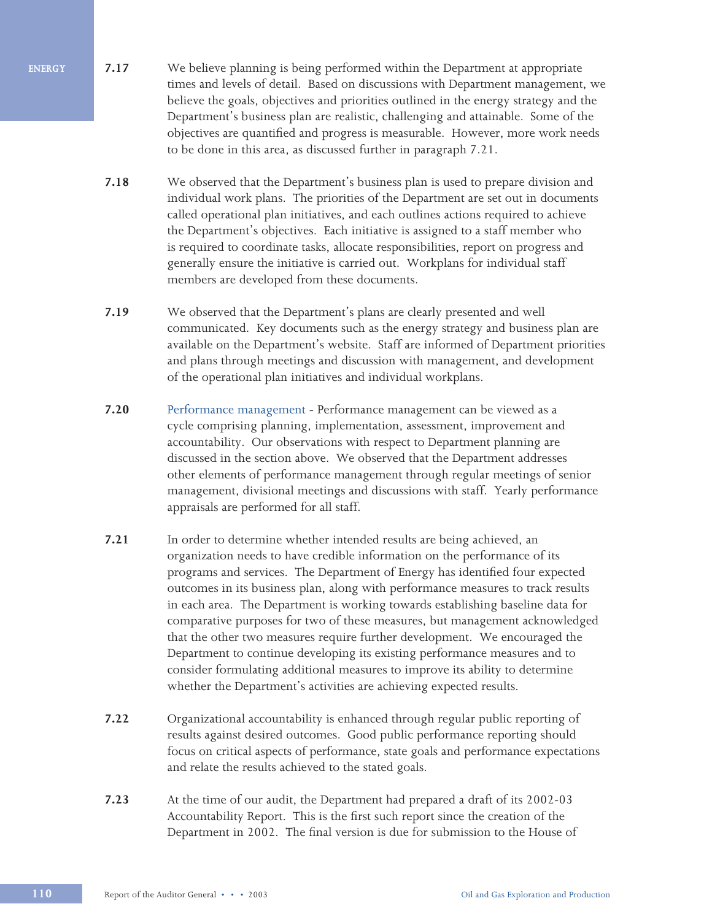- **7.17** We believe planning is being performed within the Department at appropriate times and levels of detail. Based on discussions with Department management, we believe the goals, objectives and priorities outlined in the energy strategy and the Department's business plan are realistic, challenging and attainable. Some of the objectives are quantified and progress is measurable. However, more work needs to be done in this area, as discussed further in paragraph 7.21.
- **7.18** We observed that the Department's business plan is used to prepare division and individual work plans. The priorities of the Department are set out in documents called operational plan initiatives, and each outlines actions required to achieve the Department's objectives. Each initiative is assigned to a staff member who is required to coordinate tasks, allocate responsibilities, report on progress and generally ensure the initiative is carried out. Workplans for individual staff members are developed from these documents.
- **7.19** We observed that the Department's plans are clearly presented and well communicated. Key documents such as the energy strategy and business plan are available on the Department's website. Staff are informed of Department priorities and plans through meetings and discussion with management, and development of the operational plan initiatives and individual workplans.
- **7.20** Performance management Performance management can be viewed as a cycle comprising planning, implementation, assessment, improvement and accountability. Our observations with respect to Department planning are discussed in the section above. We observed that the Department addresses other elements of performance management through regular meetings of senior management, divisional meetings and discussions with staff. Yearly performance appraisals are performed for all staff.
- **7.21** In order to determine whether intended results are being achieved, an organization needs to have credible information on the performance of its programs and services. The Department of Energy has identified four expected outcomes in its business plan, along with performance measures to track results in each area. The Department is working towards establishing baseline data for comparative purposes for two of these measures, but management acknowledged that the other two measures require further development. We encouraged the Department to continue developing its existing performance measures and to consider formulating additional measures to improve its ability to determine whether the Department's activities are achieving expected results.
- **7.22** Organizational accountability is enhanced through regular public reporting of results against desired outcomes. Good public performance reporting should focus on critical aspects of performance, state goals and performance expectations and relate the results achieved to the stated goals.
- **7.23** At the time of our audit, the Department had prepared a draft of its 2002-03 Accountability Report. This is the first such report since the creation of the Department in 2002. The final version is due for submission to the House of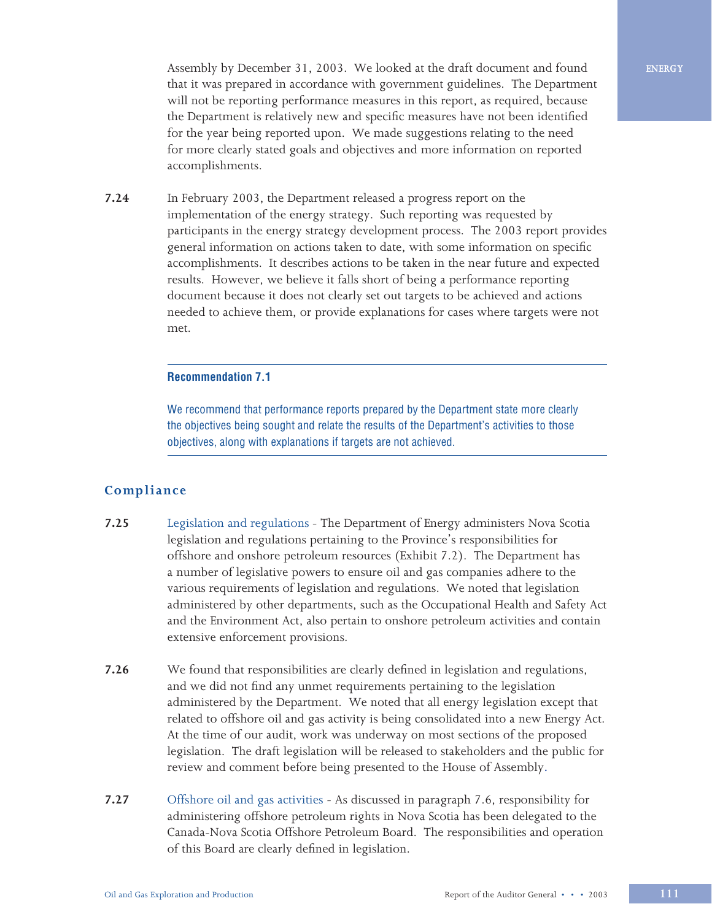Assembly by December 31, 2003. We looked at the draft document and found that it was prepared in accordance with government guidelines. The Department will not be reporting performance measures in this report, as required, because the Department is relatively new and specific measures have not been identified for the year being reported upon. We made suggestions relating to the need for more clearly stated goals and objectives and more information on reported accomplishments.

**7.24** In February 2003, the Department released a progress report on the implementation of the energy strategy. Such reporting was requested by participants in the energy strategy development process. The 2003 report provides general information on actions taken to date, with some information on specific accomplishments. It describes actions to be taken in the near future and expected results. However, we believe it falls short of being a performance reporting document because it does not clearly set out targets to be achieved and actions needed to achieve them, or provide explanations for cases where targets were not met.

#### **Recommendation 7.1**

We recommend that performance reports prepared by the Department state more clearly the objectives being sought and relate the results of the Department's activities to those objectives, along with explanations if targets are not achieved.

## **Compliance**

- **7.25** Legislation and regulations The Department of Energy administers Nova Scotia legislation and regulations pertaining to the Province's responsibilities for offshore and onshore petroleum resources (Exhibit 7.2). The Department has a number of legislative powers to ensure oil and gas companies adhere to the various requirements of legislation and regulations. We noted that legislation administered by other departments, such as the Occupational Health and Safety Act and the Environment Act, also pertain to onshore petroleum activities and contain extensive enforcement provisions.
- **7.26** We found that responsibilities are clearly defined in legislation and regulations, and we did not find any unmet requirements pertaining to the legislation administered by the Department. We noted that all energy legislation except that related to offshore oil and gas activity is being consolidated into a new Energy Act. At the time of our audit, work was underway on most sections of the proposed legislation. The draft legislation will be released to stakeholders and the public for review and comment before being presented to the House of Assembly.
- **7.27** Offshore oil and gas activities As discussed in paragraph 7.6, responsibility for administering offshore petroleum rights in Nova Scotia has been delegated to the Canada-Nova Scotia Offshore Petroleum Board. The responsibilities and operation of this Board are clearly defined in legislation.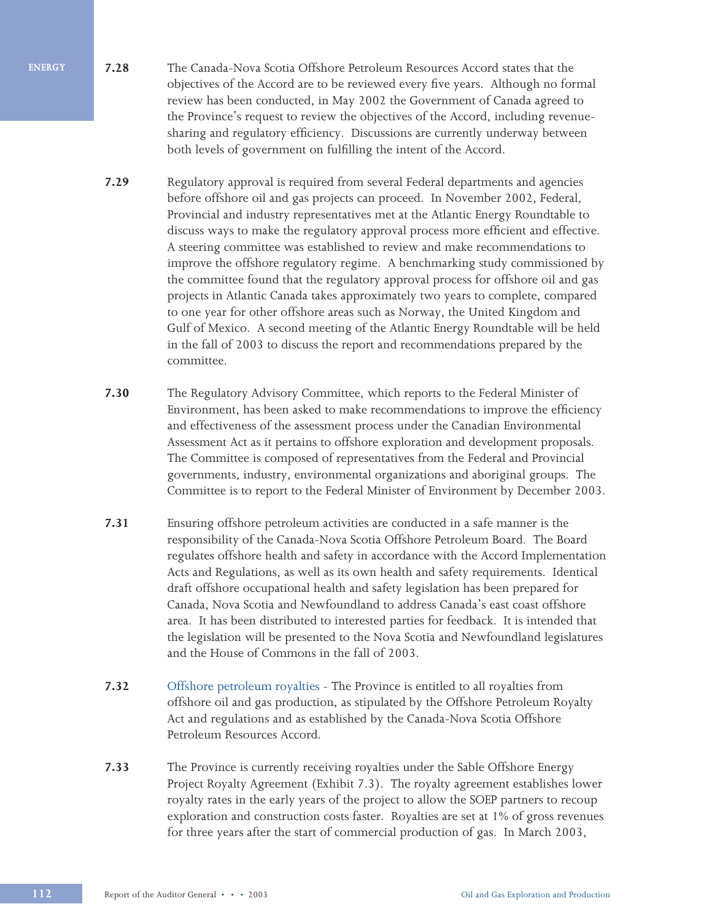- **7.28** The Canada-Nova Scotia Offshore Petroleum Resources Accord states that the objectives of the Accord are to be reviewed every five years. Although no formal review has been conducted, in May 2002 the Government of Canada agreed to the Province's request to review the objectives of the Accord, including revenuesharing and regulatory efficiency. Discussions are currently underway between both levels of government on fulfilling the intent of the Accord.
- **7.29** Regulatory approval is required from several Federal departments and agencies before offshore oil and gas projects can proceed. In November 2002, Federal, Provincial and industry representatives met at the Atlantic Energy Roundtable to discuss ways to make the regulatory approval process more efficient and effective. A steering committee was established to review and make recommendations to improve the offshore regulatory regime. A benchmarking study commissioned by the committee found that the regulatory approval process for offshore oil and gas projects in Atlantic Canada takes approximately two years to complete, compared to one year for other offshore areas such as Norway, the United Kingdom and Gulf of Mexico. A second meeting of the Atlantic Energy Roundtable will be held in the fall of 2003 to discuss the report and recommendations prepared by the committee.
- **7.30** The Regulatory Advisory Committee, which reports to the Federal Minister of Environment, has been asked to make recommendations to improve the efficiency and effectiveness of the assessment process under the Canadian Environmental Assessment Act as it pertains to offshore exploration and development proposals. The Committee is composed of representatives from the Federal and Provincial governments, industry, environmental organizations and aboriginal groups. The Committee is to report to the Federal Minister of Environment by December 2003.
- **7.31** Ensuring offshore petroleum activities are conducted in a safe manner is the responsibility of the Canada-Nova Scotia Offshore Petroleum Board. The Board regulates offshore health and safety in accordance with the Accord Implementation Acts and Regulations, as well as its own health and safety requirements. Identical draft offshore occupational health and safety legislation has been prepared for Canada, Nova Scotia and Newfoundland to address Canada's east coast offshore area. It has been distributed to interested parties for feedback. It is intended that the legislation will be presented to the Nova Scotia and Newfoundland legislatures and the House of Commons in the fall of 2003.
- **7.32** Offshore petroleum royalties The Province is entitled to all royalties from offshore oil and gas production, as stipulated by the Offshore Petroleum Royalty Act and regulations and as established by the Canada-Nova Scotia Offshore Petroleum Resources Accord.
- **7.33** The Province is currently receiving royalties under the Sable Offshore Energy Project Royalty Agreement (Exhibit 7.3). The royalty agreement establishes lower royalty rates in the early years of the project to allow the SOEP partners to recoup exploration and construction costs faster. Royalties are set at 1% of gross revenues for three years after the start of commercial production of gas. In March 2003,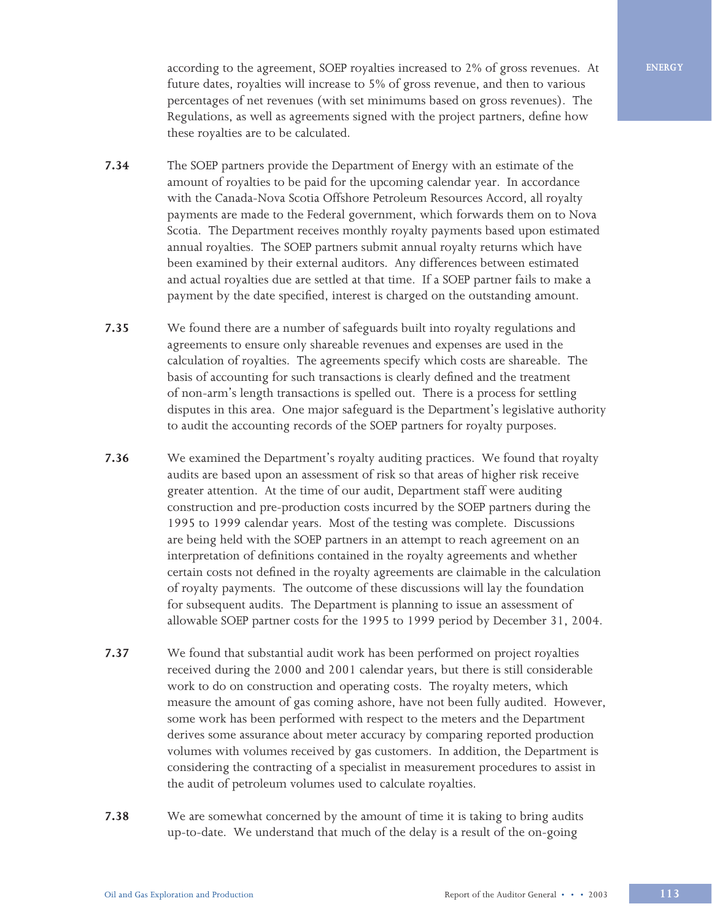according to the agreement, SOEP royalties increased to 2% of gross revenues. At future dates, royalties will increase to 5% of gross revenue, and then to various percentages of net revenues (with set minimums based on gross revenues). The Regulations, as well as agreements signed with the project partners, define how these royalties are to be calculated.

- **7.34** The SOEP partners provide the Department of Energy with an estimate of the amount of royalties to be paid for the upcoming calendar year. In accordance with the Canada-Nova Scotia Offshore Petroleum Resources Accord, all royalty payments are made to the Federal government, which forwards them on to Nova Scotia. The Department receives monthly royalty payments based upon estimated annual royalties. The SOEP partners submit annual royalty returns which have been examined by their external auditors. Any differences between estimated and actual royalties due are settled at that time. If a SOEP partner fails to make a payment by the date specified, interest is charged on the outstanding amount.
- **7.35** We found there are a number of safeguards built into royalty regulations and agreements to ensure only shareable revenues and expenses are used in the calculation of royalties. The agreements specify which costs are shareable. The basis of accounting for such transactions is clearly defined and the treatment of non-arm's length transactions is spelled out. There is a process for settling disputes in this area. One major safeguard is the Department's legislative authority to audit the accounting records of the SOEP partners for royalty purposes.
- **7.36** We examined the Department's royalty auditing practices. We found that royalty audits are based upon an assessment of risk so that areas of higher risk receive greater attention. At the time of our audit, Department staff were auditing construction and pre-production costs incurred by the SOEP partners during the 1995 to 1999 calendar years. Most of the testing was complete. Discussions are being held with the SOEP partners in an attempt to reach agreement on an interpretation of definitions contained in the royalty agreements and whether certain costs not defined in the royalty agreements are claimable in the calculation of royalty payments. The outcome of these discussions will lay the foundation for subsequent audits. The Department is planning to issue an assessment of allowable SOEP partner costs for the 1995 to 1999 period by December 31, 2004.
- **7.37** We found that substantial audit work has been performed on project royalties received during the 2000 and 2001 calendar years, but there is still considerable work to do on construction and operating costs. The royalty meters, which measure the amount of gas coming ashore, have not been fully audited. However, some work has been performed with respect to the meters and the Department derives some assurance about meter accuracy by comparing reported production volumes with volumes received by gas customers. In addition, the Department is considering the contracting of a specialist in measurement procedures to assist in the audit of petroleum volumes used to calculate royalties.
- **7.38** We are somewhat concerned by the amount of time it is taking to bring audits up-to-date. We understand that much of the delay is a result of the on-going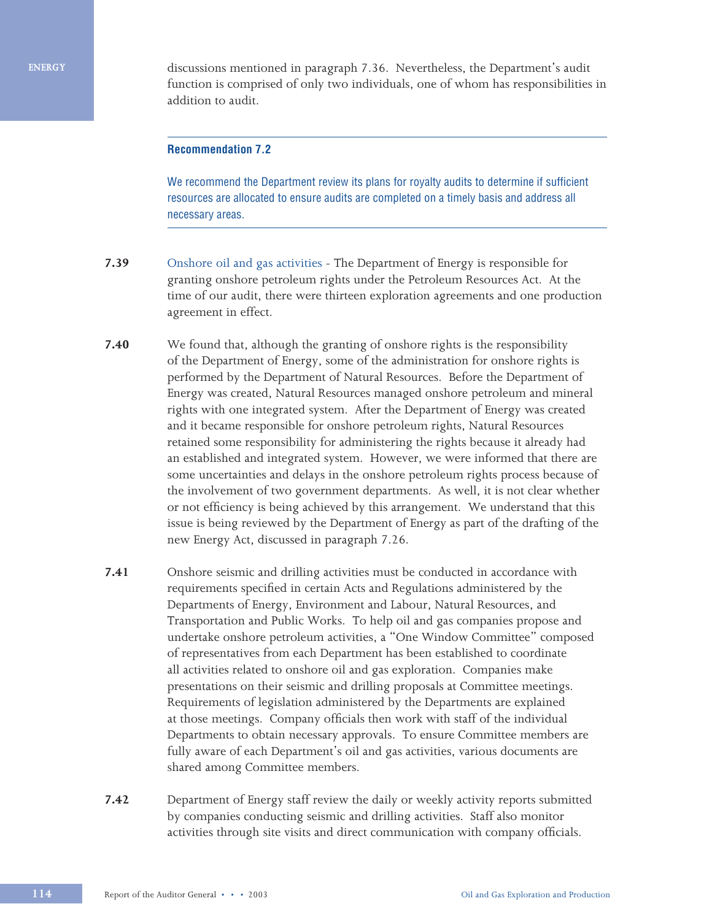**ENERGY**

discussions mentioned in paragraph 7.36. Nevertheless, the Department's audit function is comprised of only two individuals, one of whom has responsibilities in addition to audit.

### **Recommendation 7.2**

We recommend the Department review its plans for royalty audits to determine if sufficient resources are allocated to ensure audits are completed on a timely basis and address all necessary areas.

- **7.39** Onshore oil and gas activities The Department of Energy is responsible for granting onshore petroleum rights under the Petroleum Resources Act. At the time of our audit, there were thirteen exploration agreements and one production agreement in effect.
- **7.40** We found that, although the granting of onshore rights is the responsibility of the Department of Energy, some of the administration for onshore rights is performed by the Department of Natural Resources. Before the Department of Energy was created, Natural Resources managed onshore petroleum and mineral rights with one integrated system. After the Department of Energy was created and it became responsible for onshore petroleum rights, Natural Resources retained some responsibility for administering the rights because it already had an established and integrated system. However, we were informed that there are some uncertainties and delays in the onshore petroleum rights process because of the involvement of two government departments. As well, it is not clear whether or not efficiency is being achieved by this arrangement. We understand that this issue is being reviewed by the Department of Energy as part of the drafting of the new Energy Act, discussed in paragraph 7.26.
- **7.41** Onshore seismic and drilling activities must be conducted in accordance with requirements specified in certain Acts and Regulations administered by the Departments of Energy, Environment and Labour, Natural Resources, and Transportation and Public Works. To help oil and gas companies propose and undertake onshore petroleum activities, a "One Window Committee" composed of representatives from each Department has been established to coordinate all activities related to onshore oil and gas exploration. Companies make presentations on their seismic and drilling proposals at Committee meetings. Requirements of legislation administered by the Departments are explained at those meetings. Company officials then work with staff of the individual Departments to obtain necessary approvals. To ensure Committee members are fully aware of each Department's oil and gas activities, various documents are shared among Committee members.
- **7.42** Department of Energy staff review the daily or weekly activity reports submitted by companies conducting seismic and drilling activities. Staff also monitor activities through site visits and direct communication with company officials.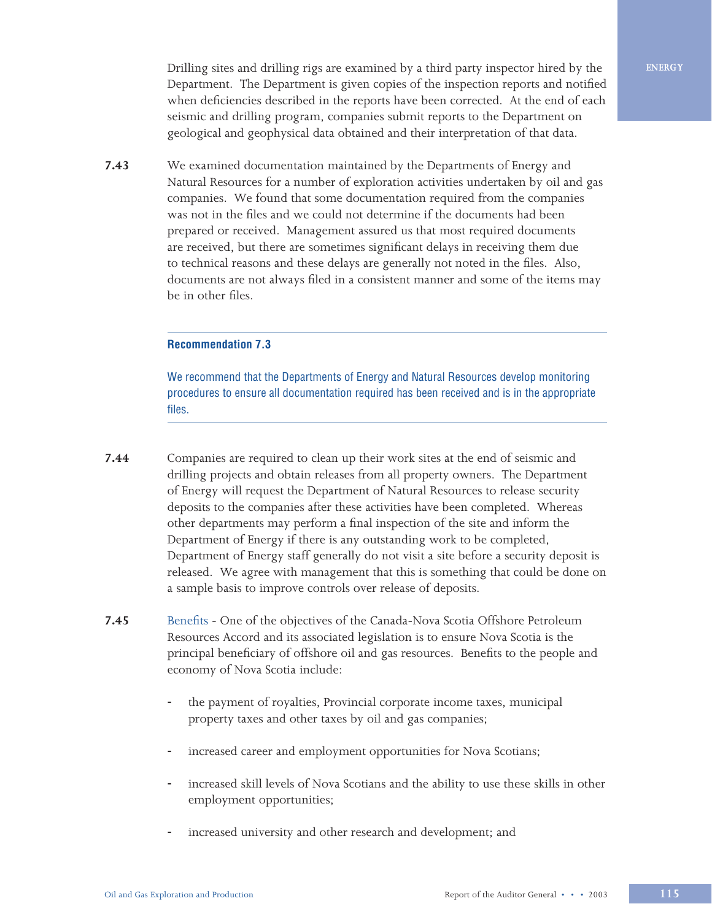Drilling sites and drilling rigs are examined by a third party inspector hired by the Department. The Department is given copies of the inspection reports and notified when deficiencies described in the reports have been corrected. At the end of each seismic and drilling program, companies submit reports to the Department on geological and geophysical data obtained and their interpretation of that data.

**7.43** We examined documentation maintained by the Departments of Energy and Natural Resources for a number of exploration activities undertaken by oil and gas companies. We found that some documentation required from the companies was not in the files and we could not determine if the documents had been prepared or received. Management assured us that most required documents are received, but there are sometimes significant delays in receiving them due to technical reasons and these delays are generally not noted in the files. Also, documents are not always filed in a consistent manner and some of the items may be in other files.

## **Recommendation 7.3**

We recommend that the Departments of Energy and Natural Resources develop monitoring procedures to ensure all documentation required has been received and is in the appropriate files.

- **7.44** Companies are required to clean up their work sites at the end of seismic and drilling projects and obtain releases from all property owners. The Department of Energy will request the Department of Natural Resources to release security deposits to the companies after these activities have been completed. Whereas other departments may perform a final inspection of the site and inform the Department of Energy if there is any outstanding work to be completed, Department of Energy staff generally do not visit a site before a security deposit is released. We agree with management that this is something that could be done on a sample basis to improve controls over release of deposits.
- **7.45** Benefits One of the objectives of the Canada-Nova Scotia Offshore Petroleum Resources Accord and its associated legislation is to ensure Nova Scotia is the principal beneficiary of offshore oil and gas resources. Benefits to the people and economy of Nova Scotia include:
	- the payment of royalties, Provincial corporate income taxes, municipal property taxes and other taxes by oil and gas companies;
	- increased career and employment opportunities for Nova Scotians;
	- increased skill levels of Nova Scotians and the ability to use these skills in other employment opportunities;
	- increased university and other research and development; and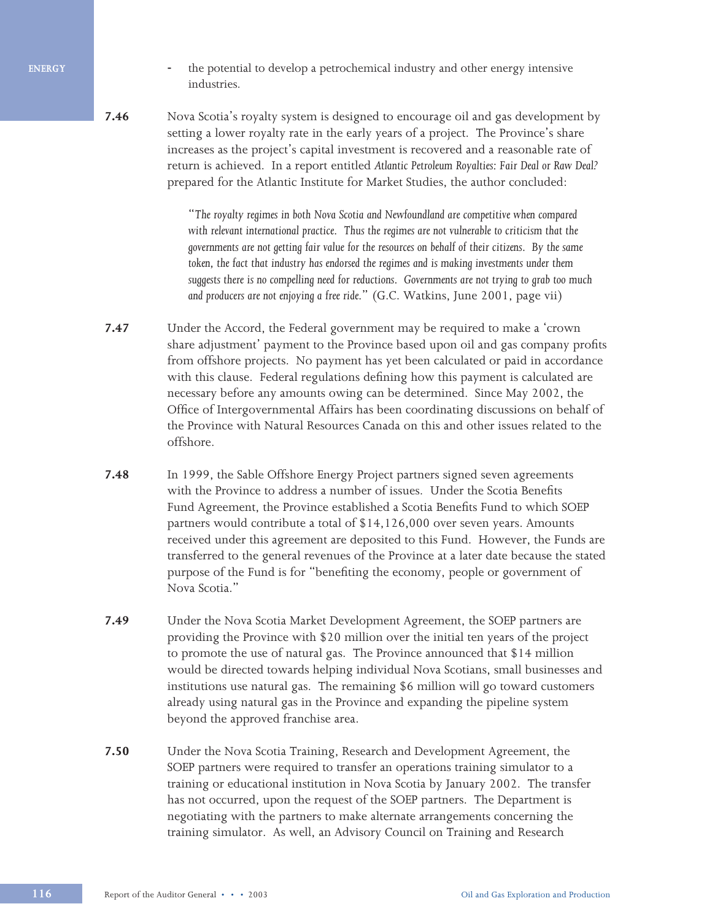**ENERGY**

- the potential to develop a petrochemical industry and other energy intensive industries.
- **7.46** Nova Scotia's royalty system is designed to encourage oil and gas development by setting a lower royalty rate in the early years of a project. The Province's share increases as the project's capital investment is recovered and a reasonable rate of return is achieved. In a report entitled *Atlantic Petroleum Royalties: Fair Deal or Raw Deal?* prepared for the Atlantic Institute for Market Studies, the author concluded:

"*The royalty regimes in both Nova Scotia and Newfoundland are competitive when compared*  with relevant international practice. Thus the regimes are not vulnerable to criticism that the *governments are not getting fair value for the resources on behalf of their citizens. By the same*  token, the fact that industry has endorsed the regimes and is making investments under them *suggests there is no compelling need for reductions. Governments are not trying to grab too much and producers are not enjoying a free ride.*" (G.C. Watkins, June 2001, page vii)

- **7.47** Under the Accord, the Federal government may be required to make a 'crown share adjustment' payment to the Province based upon oil and gas company profits from offshore projects. No payment has yet been calculated or paid in accordance with this clause. Federal regulations defining how this payment is calculated are necessary before any amounts owing can be determined. Since May 2002, the Office of Intergovernmental Affairs has been coordinating discussions on behalf of the Province with Natural Resources Canada on this and other issues related to the offshore.
- **7.48** In 1999, the Sable Offshore Energy Project partners signed seven agreements with the Province to address a number of issues. Under the Scotia Benefits Fund Agreement, the Province established a Scotia Benefits Fund to which SOEP partners would contribute a total of \$14,126,000 over seven years. Amounts received under this agreement are deposited to this Fund. However, the Funds are transferred to the general revenues of the Province at a later date because the stated purpose of the Fund is for "benefiting the economy, people or government of Nova Scotia."
- **7.49** Under the Nova Scotia Market Development Agreement, the SOEP partners are providing the Province with \$20 million over the initial ten years of the project to promote the use of natural gas. The Province announced that \$14 million would be directed towards helping individual Nova Scotians, small businesses and institutions use natural gas. The remaining \$6 million will go toward customers already using natural gas in the Province and expanding the pipeline system beyond the approved franchise area.
- **7.50** Under the Nova Scotia Training, Research and Development Agreement, the SOEP partners were required to transfer an operations training simulator to a training or educational institution in Nova Scotia by January 2002. The transfer has not occurred, upon the request of the SOEP partners. The Department is negotiating with the partners to make alternate arrangements concerning the training simulator. As well, an Advisory Council on Training and Research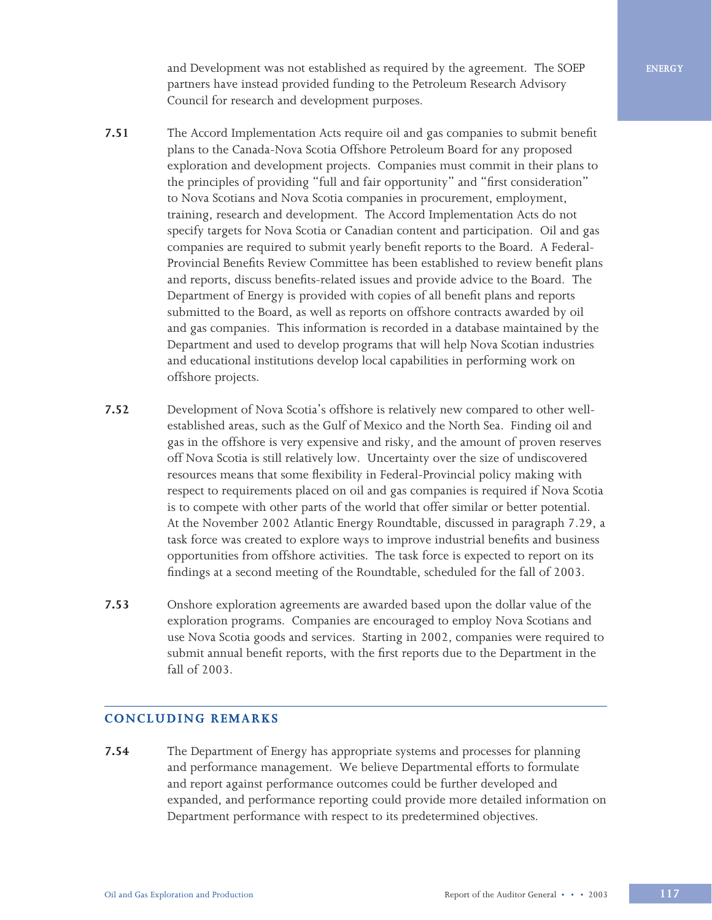and Development was not established as required by the agreement. The SOEP partners have instead provided funding to the Petroleum Research Advisory Council for research and development purposes.

- **7.51** The Accord Implementation Acts require oil and gas companies to submit benefit plans to the Canada-Nova Scotia Offshore Petroleum Board for any proposed exploration and development projects. Companies must commit in their plans to the principles of providing "full and fair opportunity" and "first consideration" to Nova Scotians and Nova Scotia companies in procurement, employment, training, research and development. The Accord Implementation Acts do not specify targets for Nova Scotia or Canadian content and participation. Oil and gas companies are required to submit yearly benefit reports to the Board. A Federal-Provincial Benefits Review Committee has been established to review benefit plans and reports, discuss benefits-related issues and provide advice to the Board. The Department of Energy is provided with copies of all benefit plans and reports submitted to the Board, as well as reports on offshore contracts awarded by oil and gas companies. This information is recorded in a database maintained by the Department and used to develop programs that will help Nova Scotian industries and educational institutions develop local capabilities in performing work on offshore projects.
- **7.52** Development of Nova Scotia's offshore is relatively new compared to other wellestablished areas, such as the Gulf of Mexico and the North Sea. Finding oil and gas in the offshore is very expensive and risky, and the amount of proven reserves off Nova Scotia is still relatively low. Uncertainty over the size of undiscovered resources means that some flexibility in Federal-Provincial policy making with respect to requirements placed on oil and gas companies is required if Nova Scotia is to compete with other parts of the world that offer similar or better potential. At the November 2002 Atlantic Energy Roundtable, discussed in paragraph 7.29, a task force was created to explore ways to improve industrial benefits and business opportunities from offshore activities. The task force is expected to report on its findings at a second meeting of the Roundtable, scheduled for the fall of 2003.
- **7.53** Onshore exploration agreements are awarded based upon the dollar value of the exploration programs. Companies are encouraged to employ Nova Scotians and use Nova Scotia goods and services. Starting in 2002, companies were required to submit annual benefit reports, with the first reports due to the Department in the fall of 2003.

## **CONCLUDING REMARKS**

**7.54** The Department of Energy has appropriate systems and processes for planning and performance management. We believe Departmental efforts to formulate and report against performance outcomes could be further developed and expanded, and performance reporting could provide more detailed information on Department performance with respect to its predetermined objectives.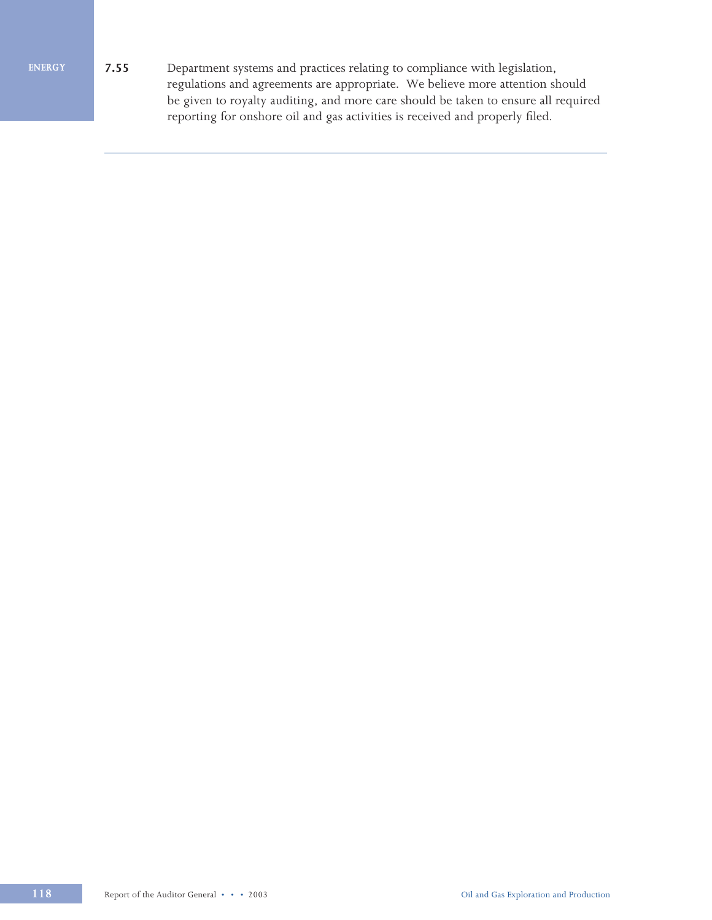**ENERGY**

**7.55** Department systems and practices relating to compliance with legislation, regulations and agreements are appropriate. We believe more attention should be given to royalty auditing, and more care should be taken to ensure all required reporting for onshore oil and gas activities is received and properly filed.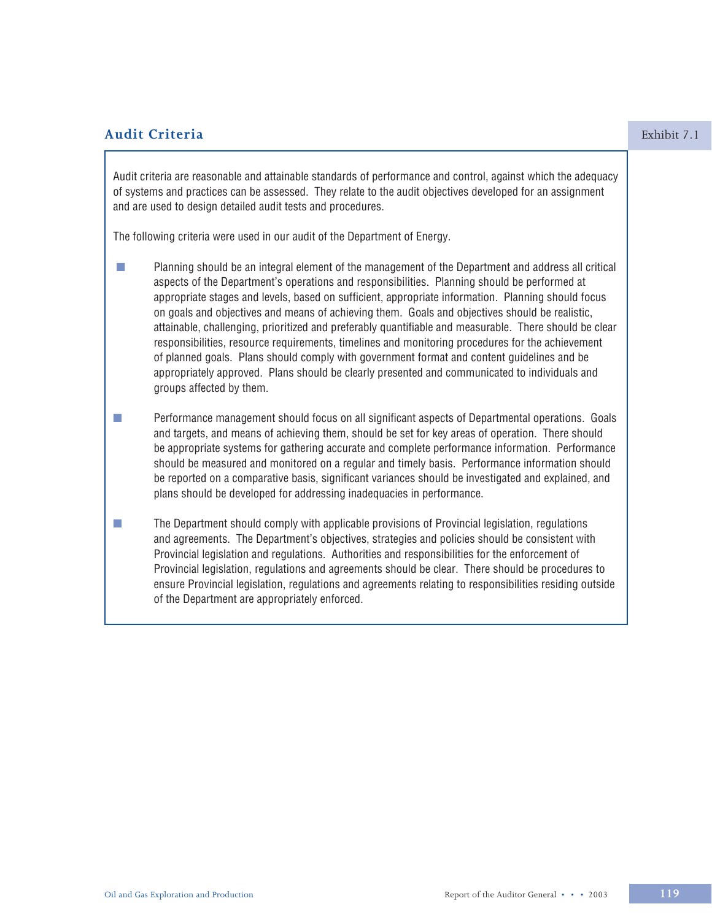# **Audit Criteria** Exhibit 7.1

Audit criteria are reasonable and attainable standards of performance and control, against which the adequacy of systems and practices can be assessed. They relate to the audit objectives developed for an assignment and are used to design detailed audit tests and procedures.

The following criteria were used in our audit of the Department of Energy.

- **n** Planning should be an integral element of the management of the Department and address all critical aspects of the Department's operations and responsibilities. Planning should be performed at appropriate stages and levels, based on sufficient, appropriate information. Planning should focus on goals and objectives and means of achieving them. Goals and objectives should be realistic, attainable, challenging, prioritized and preferably quantifiable and measurable. There should be clear responsibilities, resource requirements, timelines and monitoring procedures for the achievement of planned goals. Plans should comply with government format and content guidelines and be appropriately approved. Plans should be clearly presented and communicated to individuals and groups affected by them.
- **n** Performance management should focus on all significant aspects of Departmental operations. Goals and targets, and means of achieving them, should be set for key areas of operation. There should be appropriate systems for gathering accurate and complete performance information. Performance should be measured and monitored on a regular and timely basis. Performance information should be reported on a comparative basis, significant variances should be investigated and explained, and plans should be developed for addressing inadequacies in performance.
- **n** The Department should comply with applicable provisions of Provincial legislation, regulations and agreements. The Department's objectives, strategies and policies should be consistent with Provincial legislation and regulations. Authorities and responsibilities for the enforcement of Provincial legislation, regulations and agreements should be clear. There should be procedures to ensure Provincial legislation, regulations and agreements relating to responsibilities residing outside of the Department are appropriately enforced.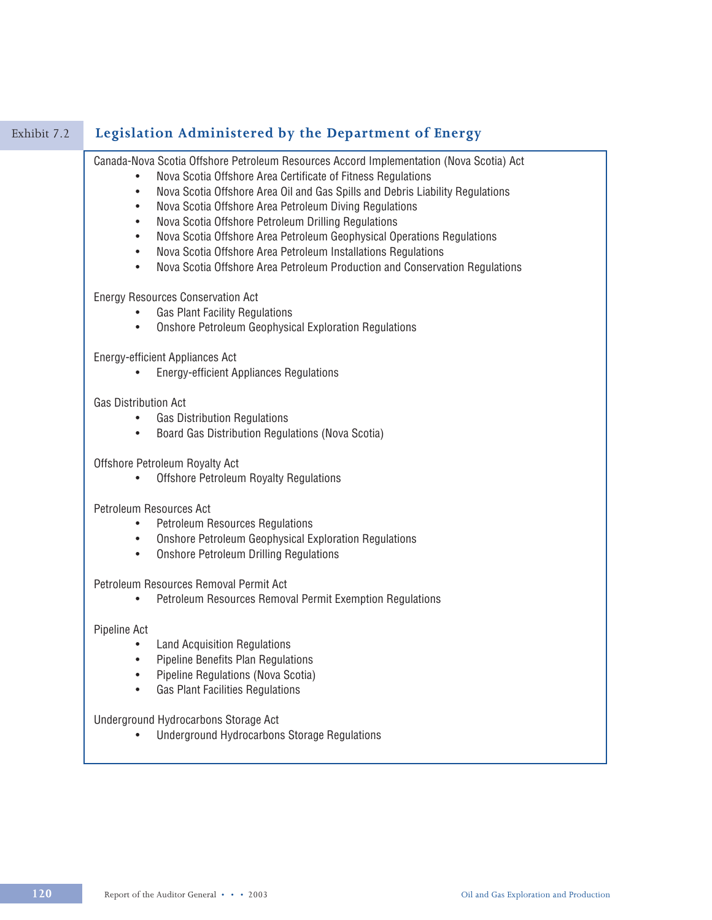| Legislation Administered by the Department of Energy                                                                                                                                                                                                                                                                                                                                                                                                                                                                                                                                                                    |
|-------------------------------------------------------------------------------------------------------------------------------------------------------------------------------------------------------------------------------------------------------------------------------------------------------------------------------------------------------------------------------------------------------------------------------------------------------------------------------------------------------------------------------------------------------------------------------------------------------------------------|
| Canada-Nova Scotia Offshore Petroleum Resources Accord Implementation (Nova Scotia) Act<br>Nova Scotia Offshore Area Certificate of Fitness Regulations<br>Nova Scotia Offshore Area Oil and Gas Spills and Debris Liability Regulations<br>٠<br>Nova Scotia Offshore Area Petroleum Diving Regulations<br>٠<br>Nova Scotia Offshore Petroleum Drilling Regulations<br>Nova Scotia Offshore Area Petroleum Geophysical Operations Regulations<br>Nova Scotia Offshore Area Petroleum Installations Regulations<br>$\bullet$<br>Nova Scotia Offshore Area Petroleum Production and Conservation Regulations<br>$\bullet$ |
| <b>Energy Resources Conservation Act</b><br><b>Gas Plant Facility Regulations</b><br><b>Onshore Petroleum Geophysical Exploration Regulations</b><br>$\bullet$                                                                                                                                                                                                                                                                                                                                                                                                                                                          |
| Energy-efficient Appliances Act<br><b>Energy-efficient Appliances Regulations</b>                                                                                                                                                                                                                                                                                                                                                                                                                                                                                                                                       |
| <b>Gas Distribution Act</b><br><b>Gas Distribution Regulations</b><br>$\bullet$<br>Board Gas Distribution Regulations (Nova Scotia)<br>$\bullet$                                                                                                                                                                                                                                                                                                                                                                                                                                                                        |
| Offshore Petroleum Royalty Act<br><b>Offshore Petroleum Royalty Regulations</b>                                                                                                                                                                                                                                                                                                                                                                                                                                                                                                                                         |
| Petroleum Resources Act<br><b>Petroleum Resources Regulations</b><br><b>Onshore Petroleum Geophysical Exploration Regulations</b><br><b>Onshore Petroleum Drilling Regulations</b><br>$\bullet$                                                                                                                                                                                                                                                                                                                                                                                                                         |
| Petroleum Resources Removal Permit Act<br>Petroleum Resources Removal Permit Exemption Regulations<br>$\bullet$                                                                                                                                                                                                                                                                                                                                                                                                                                                                                                         |
| Pipeline Act<br><b>Land Acquisition Regulations</b><br>Pipeline Benefits Plan Regulations<br>Pipeline Regulations (Nova Scotia)<br><b>Gas Plant Facilities Regulations</b>                                                                                                                                                                                                                                                                                                                                                                                                                                              |
| Underground Hydrocarbons Storage Act<br><b>Underground Hydrocarbons Storage Regulations</b>                                                                                                                                                                                                                                                                                                                                                                                                                                                                                                                             |
|                                                                                                                                                                                                                                                                                                                                                                                                                                                                                                                                                                                                                         |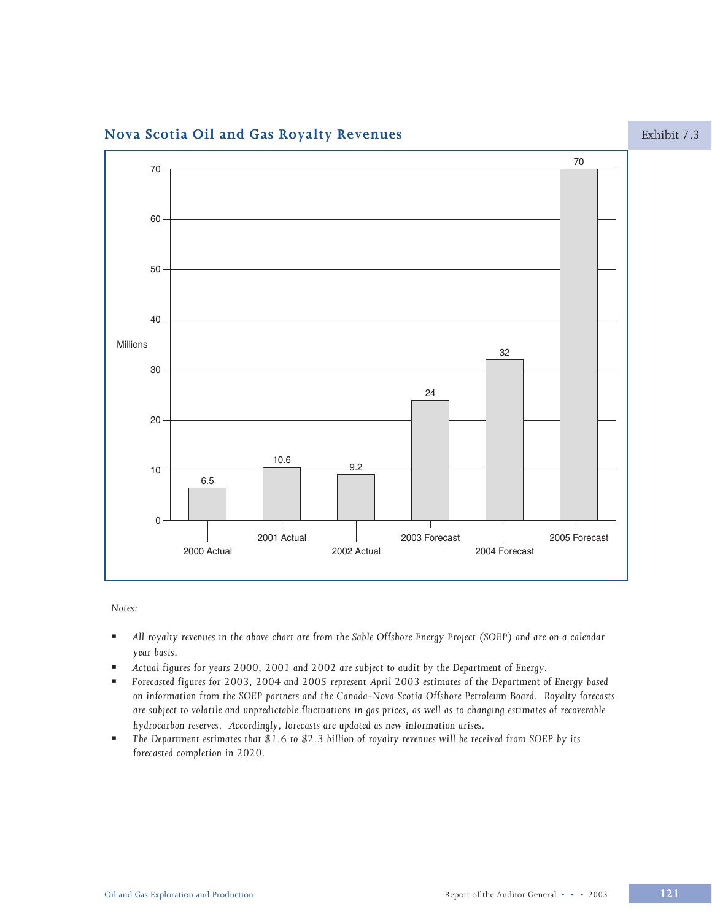# Nova Scotia Oil and Gas Royalty Revenues



Notes:

- $\blacksquare$ All royalty revenues in the above chart are from the Sable Offshore Energy Project (SOEP) and are on a calendar year basis.
- Actual figures for years 2000, 2001 and 2002 are subject to audit by the Department of Energy. ٠.
- Forecasted figures for 2003, 2004 and 2005 represent April 2003 estimates of the Department of Energy based ×. on information from the SOEP partners and the Canada-Nova Scotia Offshore Petroleum Board. Royalty forecasts are subject to volatile and unpredictable fluctuations in gas prices, as well as to changing estimates of recoverable hydrocarbon reserves. Accordingly, forecasts are updated as new information arises.
- The Department estimates that \$1.6 to \$2.3 billion of royalty revenues will be received from SOEP by its  $\blacksquare$ forecasted completion in 2020.

Exhibit 7.3